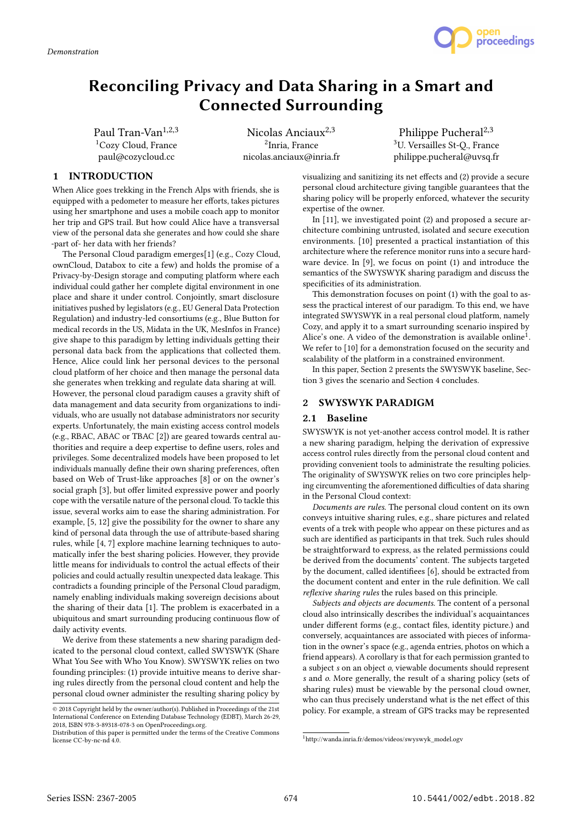

# Reconciling Privacy and Data Sharing in a Smart and Connected Surrounding

Paul Tran-Van<sup>1,2,3</sup> <sup>1</sup>Cozy Cloud, France paul@cozycloud.cc

Nicolas Anciau $x^{2,3}$ 2 Inria, France nicolas.anciaux@inria.fr

Philippe Pucheral<sup>2,3</sup> <sup>3</sup>U. Versailles St-Q., France philippe.pucheral@uvsq.fr

## 1 INTRODUCTION

When Alice goes trekking in the French Alps with friends, she is equipped with a pedometer to measure her efforts, takes pictures using her smartphone and uses a mobile coach app to monitor her trip and GPS trail. But how could Alice have a transversal view of the personal data she generates and how could she share -part of- her data with her friends?

The Personal Cloud paradigm emerges[1] (e.g., Cozy Cloud, ownCloud, Databox to cite a few) and holds the promise of a Privacy-by-Design storage and computing platform where each individual could gather her complete digital environment in one place and share it under control. Conjointly, smart disclosure initiatives pushed by legislators (e.g., EU General Data Protection Regulation) and industry-led consortiums (e.g., Blue Button for medical records in the US, Midata in the UK, MesInfos in France) give shape to this paradigm by letting individuals getting their personal data back from the applications that collected them. Hence, Alice could link her personal devices to the personal cloud platform of her choice and then manage the personal data she generates when trekking and regulate data sharing at will. However, the personal cloud paradigm causes a gravity shift of data management and data security from organizations to individuals, who are usually not database administrators nor security experts. Unfortunately, the main existing access control models (e.g., RBAC, ABAC or TBAC [2]) are geared towards central authorities and require a deep expertise to define users, roles and privileges. Some decentralized models have been proposed to let individuals manually define their own sharing preferences, often based on Web of Trust-like approaches [8] or on the owner's social graph [3], but offer limited expressive power and poorly cope with the versatile nature of the personal cloud. To tackle this issue, several works aim to ease the sharing administration. For example, [5, 12] give the possibility for the owner to share any kind of personal data through the use of attribute-based sharing rules, while [4, 7] explore machine learning techniques to automatically infer the best sharing policies. However, they provide little means for individuals to control the actual effects of their policies and could actually resultin unexpected data leakage. This contradicts a founding principle of the Personal Cloud paradigm, namely enabling individuals making sovereign decisions about the sharing of their data [1]. The problem is exacerbated in a ubiquitous and smart surrounding producing continuous flow of daily activity events.

We derive from these statements a new sharing paradigm dedicated to the personal cloud context, called SWYSWYK (Share What You See with Who You Know). SWYSWYK relies on two founding principles: (1) provide intuitive means to derive sharing rules directly from the personal cloud content and help the personal cloud owner administer the resulting sharing policy by

visualizing and sanitizing its net effects and (2) provide a secure personal cloud architecture giving tangible guarantees that the sharing policy will be properly enforced, whatever the security expertise of the owner.

In [11], we investigated point (2) and proposed a secure architecture combining untrusted, isolated and secure execution environments. [10] presented a practical instantiation of this architecture where the reference monitor runs into a secure hardware device. In [9], we focus on point (1) and introduce the semantics of the SWYSWYK sharing paradigm and discuss the specificities of its administration.

This demonstration focuses on point (1) with the goal to assess the practical interest of our paradigm. To this end, we have integrated SWYSWYK in a real personal cloud platform, namely Cozy, and apply it to a smart surrounding scenario inspired by Alice's one. A video of the demonstration is available online<sup>1</sup>. We refer to [10] for a demonstration focused on the security and scalability of the platform in a constrained environment.

In this paper, Section 2 presents the SWYSWYK baseline, Section 3 gives the scenario and Section 4 concludes.

## 2 SWYSWYK PARADIGM

## 2.1 Baseline

SWYSWYK is not yet-another access control model. It is rather a new sharing paradigm, helping the derivation of expressive access control rules directly from the personal cloud content and providing convenient tools to administrate the resulting policies. The originality of SWYSWYK relies on two core principles helping circumventing the aforementioned difficulties of data sharing in the Personal Cloud context:

Documents are rules. The personal cloud content on its own conveys intuitive sharing rules, e.g., share pictures and related events of a trek with people who appear on these pictures and as such are identified as participants in that trek. Such rules should be straightforward to express, as the related permissions could be derived from the documents' content. The subjects targeted by the document, called identifiees [6], should be extracted from the document content and enter in the rule definition. We call reflexive sharing rules the rules based on this principle.

Subjects and objects are documents. The content of a personal cloud also intrinsically describes the individual's acquaintances under different forms (e.g., contact files, identity picture.) and conversely, acquaintances are associated with pieces of information in the owner's space (e.g., agenda entries, photos on which a friend appears). A corollary is that for each permission granted to a subject s on an object o, viewable documents should represent s and o. More generally, the result of a sharing policy (sets of sharing rules) must be viewable by the personal cloud owner, who can thus precisely understand what is the net effect of this policy. For example, a stream of GPS tracks may be represented

 $\odot$  2018 Copyright held by the owner/author(s). Published in Proceedings of the 21st International Conference on Extending Database Technology (EDBT), March 26-29, 2018, ISBN 978-3-89318-078-3 on OpenProceedings.org.

Distribution of this paper is permitted under the terms of the Creative Commons license CC-by-nc-nd 4.0.

 $^1$ http://wanda.inria.fr/demos/videos/swyswyk\_model.ogv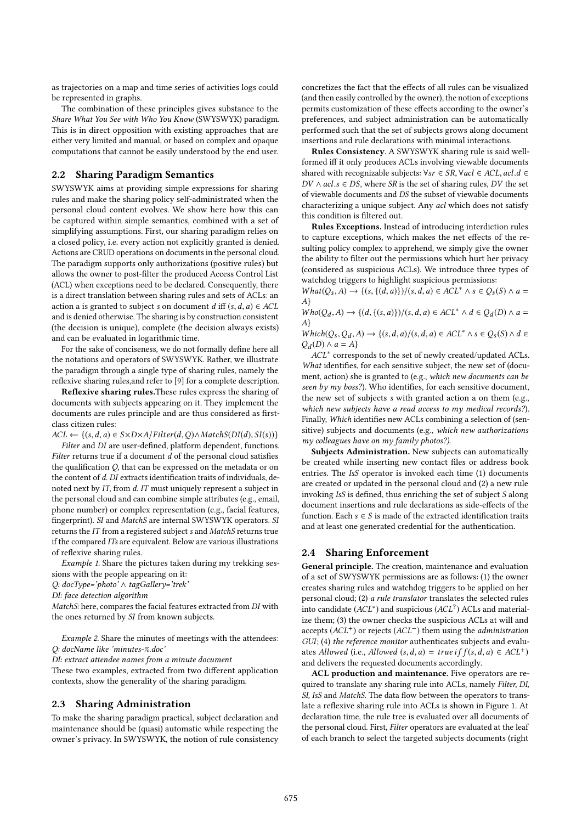as trajectories on a map and time series of activities logs could be represented in graphs.

The combination of these principles gives substance to the Share What You See with Who You Know (SWYSWYK) paradigm. This is in direct opposition with existing approaches that are either very limited and manual, or based on complex and opaque computations that cannot be easily understood by the end user.

## 2.2 Sharing Paradigm Semantics

SWYSWYK aims at providing simple expressions for sharing rules and make the sharing policy self-administrated when the personal cloud content evolves. We show here how this can be captured within simple semantics, combined with a set of simplifying assumptions. First, our sharing paradigm relies on a closed policy, i.e. every action not explicitly granted is denied. Actions are CRUD operations on documents in the personal cloud. The paradigm supports only authorizations (positive rules) but allows the owner to post-filter the produced Access Control List (ACL) when exceptions need to be declared. Consequently, there is a direct translation between sharing rules and sets of ACLs: an action a is granted to subject s on document d iff  $(s, d, a) \in ACL$ and is denied otherwise. The sharing is by construction consistent (the decision is unique), complete (the decision always exists) and can be evaluated in logarithmic time.

For the sake of conciseness, we do not formally define here all the notations and operators of SWYSWYK. Rather, we illustrate the paradigm through a single type of sharing rules, namely the reflexive sharing rules,and refer to [9] for a complete description.

Reflexive sharing rules.These rules express the sharing of documents with subjects appearing on it. They implement the documents are rules principle and are thus considered as firstclass citizen rules:

 $ACL \leftarrow \{(s, d, a) \in S \times D \times A / Filter(d, Q) \land MatchS(DI(d), SI(s))\}$ 

Filter and DI are user-defined, platform dependent, functions. Filter returns true if a document  $\overline{d}$  of the personal cloud satisfies the qualification Q, that can be expressed on the metadata or on the content of d. DI extracts identification traits of individuals, denoted next by IT, from d. IT must uniquely represent a subject in the personal cloud and can combine simple attributes (e.g., email, phone number) or complex representation (e.g., facial features, fingerprint). SI and MatchS are internal SWYSWYK operators. SI returns the IT from a registered subject s and MatchS returns true if the compared ITs are equivalent. Below are various illustrations of reflexive sharing rules.

Example 1. Share the pictures taken during my trekking sessions with the people appearing on it:

Q: docType='photo' ∧ tagGallery='trek'

DI: face detection algorithm

MatchS: here, compares the facial features extracted from DI with the ones returned by SI from known subjects.

Example 2. Share the minutes of meetings with the attendees: Q: docName like 'minutes-%.doc'

DI: extract attendee names from a minute document

These two examples, extracted from two different application contexts, show the generality of the sharing paradigm.

## 2.3 Sharing Administration

To make the sharing paradigm practical, subject declaration and maintenance should be (quasi) automatic while respecting the owner's privacy. In SWYSWYK, the notion of rule consistency concretizes the fact that the effects of all rules can be visualized (and then easily controlled by the owner), the notion of exceptions permits customization of these effects according to the owner's preferences, and subject administration can be automatically performed such that the set of subjects grows along document insertions and rule declarations with minimal interactions.

Rules Consistency. A SWYSWYK sharing rule is said wellformed iff it only produces ACLs involving viewable documents shared with recognizable subjects:  $\forall sr \in SR$ ,  $\forall acl \in ACL$ ,  $acl.d \in$  $DV \wedge acl.s \in DS$ , where  $SR$  is the set of sharing rules,  $DV$  the set of viewable documents and DS the subset of viewable documents characterizing a unique subject. Any acl which does not satisfy this condition is filtered out.

Rules Exceptions. Instead of introducing interdiction rules to capture exceptions, which makes the net effects of the resulting policy complex to apprehend, we simply give the owner the ability to filter out the permissions which hurt her privacy (considered as suspicious ACLs). We introduce three types of watchdog triggers to highlight suspicious permissions:

 $What(Q<sub>s</sub>, A) \rightarrow \{(s, \{(d, a)\})/(s, d, a) \in ACL^* \land s \in Q<sub>s</sub>(S) \land a =$ A}

 $W ho(Q_d, A) \rightarrow \{(d, \{(s, a)\})/(s, d, a) \in ACL^* \wedge d \in Q_d(D) \wedge a =$ <br>A) A}

Which( $Q_s, Q_d, A$ )  $\rightarrow$  {(s, d, a)/(s, d, a)  $\in$  ACL<sup>\*</sup>  $\land$  s  $\in$   $Q_s(S)$   $\land$  d  $\in$   $\Omega_s(O)$ )  $\land$   $a = A$ }  $Q_d(D) \wedge a = A$ 

ACL<sup>∗</sup> corresponds to the set of newly created/updated ACLs. What identifies, for each sensitive subject, the new set of (document, action) she is granted to (e.g., which new documents can be seen by my boss?). Who identifies, for each sensitive document, the new set of subjects s with granted action a on them (e.g., which new subjects have a read access to my medical records?). Finally, Which identifies new ACLs combining a selection of (sensitive) subjects and documents (e.g., which new authorizations my colleagues have on my family photos?).

Subjects Administration. New subjects can automatically be created while inserting new contact files or address book entries. The IsS operator is invoked each time (1) documents are created or updated in the personal cloud and (2) a new rule invoking IsS is defined, thus enriching the set of subject S along document insertions and rule declarations as side-effects of the function. Each  $s \in S$  is made of the extracted identification traits and at least one generated credential for the authentication.

## 2.4 Sharing Enforcement

General principle. The creation, maintenance and evaluation of a set of SWYSWYK permissions are as follows: (1) the owner creates sharing rules and watchdog triggers to be applied on her personal cloud; (2) a rule translator translates the selected rules into candidate  $(ACL^*)$  and suspicious  $(ACL^?)$  ACLs and materialize them; (3) the owner checks the suspicious ACLs at will and accepts  $(ACL^+)$  or rejects  $(ACL^-)$  them using the *administration* GUI; (4) the reference monitor authenticates subjects and evaluates Allowed (i.e., Allowed  $(s, d, a) = true$  if  $f(s, d, a) \in ACL^{+}$ ) and delivers the requested documents accordingly.

ACL production and maintenance. Five operators are required to translate any sharing rule into ACLs, namely Filter, DI, SI, IsS and MatchS. The data flow between the operators to translate a reflexive sharing rule into ACLs is shown in Figure 1. At declaration time, the rule tree is evaluated over all documents of the personal cloud. First, Filter operators are evaluated at the leaf of each branch to select the targeted subjects documents (right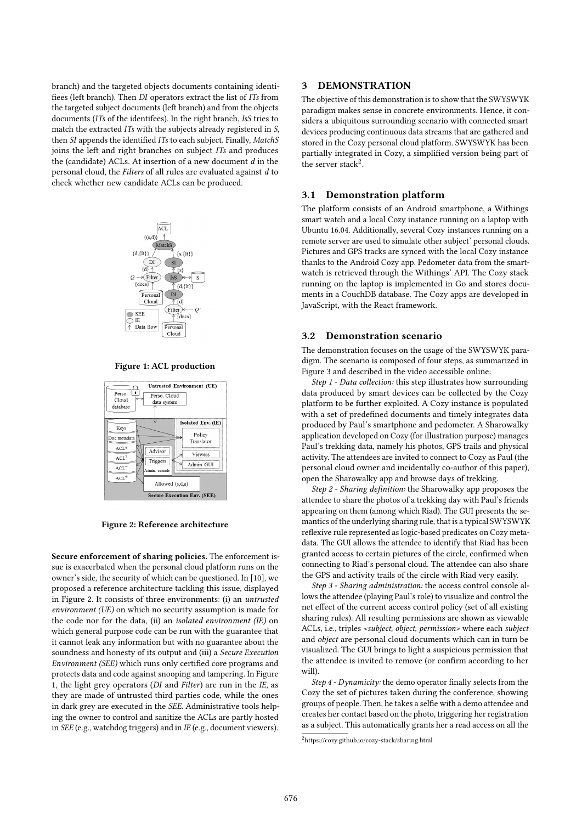branch) and the targeted objects documents containing identifiees (left branch). Then DI operators extract the list of ITs from the targeted subject documents (left branch) and from the objects documents (ITs of the identifees). In the right branch, IsS tries to match the extracted ITs with the subjects already registered in S, then SI appends the identified ITs to each subject. Finally, MatchS joins the left and right branches on subject ITs and produces the (candidate) ACLs. At insertion of a new document  $d$  in the personal cloud, the Filters of all rules are evaluated against d to check whether new candidate ACLs can be produced.



Figure 1: ACL production



Figure 2: Reference architecture

Secure enforcement of sharing policies. The enforcement issue is exacerbated when the personal cloud platform runs on the owner's side, the security of which can be questioned. In [10], we proposed a reference architecture tackling this issue, displayed in Figure 2. It consists of three environments: (i) an untrusted environment (UE) on which no security assumption is made for the code nor for the data, (ii) an *isolated environment* ( $IE$ ) on which general purpose code can be run with the guarantee that it cannot leak any information but with no guarantee about the soundness and honesty of its output and (iii) a Secure Execution Environment (SEE) which runs only certified core programs and protects data and code against snooping and tampering. In Figure 1, the light grey operators (DI and Filter) are run in the IE, as they are made of untrusted third parties code, while the ones in dark grey are executed in the SEE. Administrative tools helping the owner to control and sanitize the ACLs are partly hosted in SEE (e.g., watchdog triggers) and in IE (e.g., document viewers).

## 3 DEMONSTRATION

The objective of this demonstration is to show that the SWYSWYK paradigm makes sense in concrete environments. Hence, it considers a ubiquitous surrounding scenario with connected smart devices producing continuous data streams that are gathered and stored in the Cozy personal cloud platform. SWYSWYK has been partially integrated in Cozy, a simplified version being part of the server stack<sup>2</sup>.

## 3.1 Demonstration platform

The platform consists of an Android smartphone, a Withings smart watch and a local Cozy instance running on a laptop with Ubuntu 16.04. Additionally, several Cozy instances running on a remote server are used to simulate other subject' personal clouds. Pictures and GPS tracks are synced with the local Cozy instance thanks to the Android Cozy app. Pedometer data from the smartwatch is retrieved through the Withings' API. The Cozy stack running on the laptop is implemented in Go and stores documents in a CouchDB database. The Cozy apps are developed in JavaScript, with the React framework.

#### 3.2 Demonstration scenario

The demonstration focuses on the usage of the SWYSWYK paradigm. The scenario is composed of four steps, as summarized in Figure 3 and described in the video accessible online:

Step 1 - Data collection: this step illustrates how surrounding data produced by smart devices can be collected by the Cozy platform to be further exploited. A Cozy instance is populated with a set of predefined documents and timely integrates data produced by Paul's smartphone and pedometer. A Sharowalky application developed on Cozy (for illustration purpose) manages Paul's trekking data, namely his photos, GPS trails and physical activity. The attendees are invited to connect to Cozy as Paul (the personal cloud owner and incidentally co-author of this paper), open the Sharowalky app and browse days of trekking.

Step 2 - Sharing definition: the Sharowalky app proposes the attendee to share the photos of a trekking day with Paul's friends appearing on them (among which Riad). The GUI presents the semantics of the underlying sharing rule, that is a typical SWYSWYK reflexive rule represented as logic-based predicates on Cozy metadata. The GUI allows the attendee to identify that Riad has been granted access to certain pictures of the circle, confirmed when connecting to Riad's personal cloud. The attendee can also share the GPS and activity trails of the circle with Riad very easily.

Step 3 - Sharing administration: the access control console allows the attendee (playing Paul's role) to visualize and control the net effect of the current access control policy (set of all existing sharing rules). All resulting permissions are shown as viewable ACLs, i.e., triples <subject, object, permission> where each subject and object are personal cloud documents which can in turn be visualized. The GUI brings to light a suspicious permission that the attendee is invited to remove (or confirm according to her will).

Step 4 - Dynamicity: the demo operator finally selects from the Cozy the set of pictures taken during the conference, showing groups of people. Then, he takes a selfie with a demo attendee and creates her contact based on the photo, triggering her registration as a subject. This automatically grants her a read access on all the

<sup>2</sup>https://cozy.github.io/cozy-stack/sharing.html